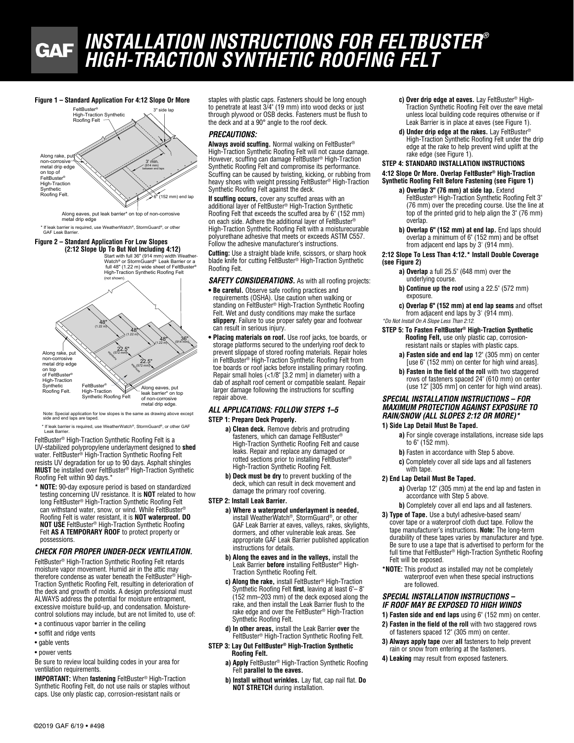## *INSTALLATION INSTRUCTIONS FOR FELTBUSTER®* **GAF** *HIGH-TRACTION SYNTHETIC ROOFING FELT*

3' min. 3" side lar  $\mathbb{R}$  (152 mm) end lap (914 mm) **FeltBuster® High-Traction Synthetic** Roofing Felt Along rake, put non-corrosive metal drip edge on top of FeltBuster® High-Traction **Synthetic** Roofing Felt. between end laps 3' min. Figure 1 – Standard Application For 4:12 Slope Or More  $\mathcal{C}$  (152 mm) end lap  $\sim$ ietal drip edge<br>n top of<br>eltBuster®  $\rightarrow$ 

Along eaves, put leak barrier\* on top of non-corrosive metal drip edge

\* If leak barrier is required, use WeatherWatch®, StormGuard®, or other GAF Leak Barrier.

## **Figure 2 – Standard Application For Low Slopes**

full 48" (1.22 m) wide sheet of FeltBuster®<br>High-Traction Synthetic Roofing Felt Start with full 36" (914 mm) width Weather-Watch® or StormGuard® Leak Barrier or a **(2:12 Slope Up To But Not Including 4:12)**



Note: Special application for low slopes is the same as drawing above except<br>side and end laps are taped.

Leak Barrier. Special application for low slopes is the same as drawing above except above except above except above except above except above except above except above except above except above except above except above e \* If leak barrier is required, use WeatherWatch®, StormGuard®, or other GAF

FeltBuster<sup>®</sup> High-Traction Synthetic Roofing Felt is a UV-stabilized polypropylene underlayment designed to **shed**  water. FeltBuster® High-Traction Synthetic Roofing Felt resists UV degradation for up to 90 days. Asphalt shingles **MUST** be installed over FeltBuster® High-Traction Synthetic Roofing Felt within 90 days.\* V-stabilized polypropylene underlayment designed to sh

**\* NOTE:** 90-day exposure period is based on standardized testing concerning UV resistance. It is **NOT** related to how long FeltBuster® High-Traction Synthetic Roofing Felt can withstand water, snow, or wind. While FeltBuster® Roofing Felt is water resistant, it is **NOT waterproof. DO NOT USE** FeltBuster® High-Traction Synthetic Roofing Felt **AS A TEMPORARY ROOF** to protect property or possessions.

#### *CHECK FOR PROPER UNDER-DECK VENTILATION.*

FeltBuster® High-Traction Synthetic Roofing Felt retards moisture vapor movement. Humid air in the attic may therefore condense as water beneath the FeltBuster® High-Traction Synthetic Roofing Felt, resulting in deterioration of the deck and growth of molds. A design professional must ALWAYS address the potential for moisture entrapment, excessive moisture build-up, and condensation. Moisturecontrol solutions may include, but are not limited to, use of:

- a continuous vapor barrier in the ceiling
- soffit and ridge vents
- gable vents
- power vents

Be sure to review local building codes in your area for ventilation requirements.

**IMPORTANT:** When **fastening** FeltBuster® High-Traction Synthetic Roofing Felt, do not use nails or staples without caps. Use only plastic cap, corrosion-resistant nails or

staples with plastic caps. Fasteners should be long enough to penetrate at least 3/4" (19 mm) into wood decks or just through plywood or OSB decks. Fasteners must be flush to the deck and at a 90° angle to the roof deck.

## *PRECAUTIONS:*

**Always avoid scuffing.** Normal walking on FeltBuster® High-Traction Synthetic Roofing Felt will not cause damage. However, scuffing can damage FeltBuster® High-Traction Synthetic Roofing Felt and compromise its performance. Scuffing can be caused by twisting, kicking, or rubbing from heavy shoes with weight pressing FeltBuster® High-Traction Synthetic Roofing Felt against the deck.

**If scuffing occurs,** cover any scuffed areas with an additional layer of FeltBuster® High-Traction Synthetic Roofing Felt that exceeds the scuffed area by 6" (152 mm) on each side. Adhere the additional layer of FeltBuster® High-Traction Synthetic Roofing Felt with a moisturecurable polyurethane adhesive that meets or exceeds ASTM C557. Follow the adhesive manufacturer's instructions.

**Cutting:** Use a straight blade knife, scissors, or sharp hook blade knife for cutting FeltBuster® High-Traction Synthetic Roofing Felt.

**SAFETY CONSIDERATIONS.** As with all roofing projects:

- **Be careful.** Observe safe roofing practices and requirements (OSHA). Use caution when walking or standing on FeltBuster® High-Traction Synthetic Roofing Felt. Wet and dusty conditions may make the surface **slippery**. Failure to use proper safety gear and footwear can result in serious injury.
- **Placing materials on roof.** Use roof jacks, toe boards, or storage platforms secured to the underlying roof deck to prevent slippage of stored roofing materials. Repair holes in FeltBuster® High-Traction Synthetic Roofing Felt from toe boards or roof jacks before installing primary roofing. Repair small holes (<1/8" [3.2 mm] in diameter) with a dab of asphalt roof cement or compatible sealant. Repair larger damage following the instructions for scuffing repair above.

## *ALL APPLICATIONS: FOLLOW STEPS 1–5*

## **STEP 1: Prepare Deck Properly.**

**a) Clean deck.** Remove debris and protruding fasteners, which can damage FeltBuster® High-Traction Synthetic Roofing Felt and cause leaks. Repair and replace any damaged or rotted sections prior to installing FeltBuster® High-Traction Synthetic Roofing Felt.

**b) Deck must be dry** to prevent buckling of the deck, which can result in deck movement and damage the primary roof covering.

## **STEP 2: Install Leak Barrier.**

- **a) Where a waterproof underlayment is needed,**  install WeatherWatch®, StormGuard®, or other GAF Leak Barrier at eaves, valleys, rakes, skylights, dormers, and other vulnerable leak areas. See appropriate GAF Leak Barrier published application instructions for details.
- **b) Along the eaves and in the valleys,** install the Leak Barrier **before** installing FeltBuster® High-Traction Synthetic Roofing Felt.
- **c) Along the rake,** install FeltBuster® High-Traction Synthetic Roofing Felt **first**, leaving at least 6"– 8" (152 mm–203 mm) of the deck exposed along the rake, and then install the Leak Barrier flush to the rake edge and over the FeltBuster® High-Traction Synthetic Roofing Felt.
- **d) In other areas,** install the Leak Barrier **over** the FeltBuster® High-Traction Synthetic Roofing Felt.
- **STEP 3: Lay Out FeltBuster® High-Traction Synthetic Roofing Felt.**
	- **a) Apply** FeltBuster® High-Traction Synthetic Roofing Felt **parallel to the eaves.**
	- **b) Install without wrinkles.** Lay flat, cap nail flat. **Do NOT STRETCH** during installation.
- **c) Over drip edge at eaves.** Lay FeltBuster® High-Traction Synthetic Roofing Felt over the eave metal unless local building code requires otherwise or if Leak Barrier is in place at eaves (see Figure 1).
- **d) Under drip edge at the rakes.** Lay FeltBuster® High-Traction Synthetic Roofing Felt under the drip edge at the rake to help prevent wind uplift at the rake edge (see Figure 1).

### **STEP 4: STANDARD INSTALLATION INSTRUCTIONS 4:12 Slope Or More. Overlap FeltBuster® High-Traction Synthetic Roofing Felt Before Fastening (see Figure 1)**

- a) Overlap 3" (76 mm) at side lap. Extend FeltBuster® High-Traction Synthetic Roofing Felt 3" (76 mm) over the preceding course. Use the line at top of the printed grid to help align the 3" (76 mm) overlap.
- **b) Overlap 6" (152 mm) at end lap.** End laps should overlap a minimum of 6" (152 mm) and be offset from adjacent end laps by 3' (914 mm).

#### **2:12 Slope To Less Than 4:12.\* Install Double Coverage (see Figure 2)**

- **a) Overlap** a full 25.5" (648 mm) over the underlying course.
- **b) Continue up the roof** using a 22.5" (572 mm) exposure.
- **c) Overlap 6" (152 mm) at end lap seams** and offset from adjacent end laps by 3' (914 mm). *\*Do Not Install On A Slope Less Than 2:12.*

#### **STEP 5: To Fasten FeltBuster® High-Traction Synthetic Roofing Felt,** use only plastic cap, corrosionresistant nails or staples with plastic caps.

- **a) Fasten side and end lap** 12" (305 mm) on center [use 6" (152 mm) on center for high wind areas].
- **b) Fasten in the field of the roll** with two staggered rows of fasteners spaced 24" (610 mm) on center (use 12" [305 mm] on center for high wind areas).

## *SPECIAL INSTALLATION INSTRUCTIONS – FOR MAXIMUM PROTECTION AGAINST EXPOSURE TO RAIN/SNOW (ALL SLOPES 2:12 OR MORE)\**

## **1) Side Lap Detail Must Be Taped.**

- **a)** For single coverage installations, increase side laps to 6" (152 mm).
- **b)** Fasten in accordance with Step 5 above.
- **c)** Completely cover all side laps and all fasteners with tape.

## **2) End Lap Detail Must Be Taped.**

**a)** Overlap 12" (305 mm) at the end lap and fasten in accordance with Step 5 above.

- **b)** Completely cover all end laps and all fasteners.
- **3) Type of Tape.** Use a butyl adhesive-based seam/ cover tape or a waterproof cloth duct tape. Follow the tape manufacturer's instructions. **Note:** The long-term durability of these tapes varies by manufacturer and type. Be sure to use a tape that is advertised to perform for the full time that FeltBuster<sup>®</sup> High-Traction Synthetic Roofing Felt will be exposed.
- **\*NOTE:** This product as installed may not be completely waterproof even when these special instructions are followed.

#### *SPECIAL INSTALLATION INSTRUCTIONS – IF ROOF MAY BE EXPOSED TO HIGH WINDS*

- **1) Fasten side and end laps** using 6" (152 mm) on center.
- **2) Fasten in the field of the roll** with two staggered rows of fasteners spaced 12" (305 mm) on center.
- **3) Always apply tape** over **all** fasteners to help prevent rain or snow from entering at the fasteners.
- **4) Leaking** may result from exposed fasteners.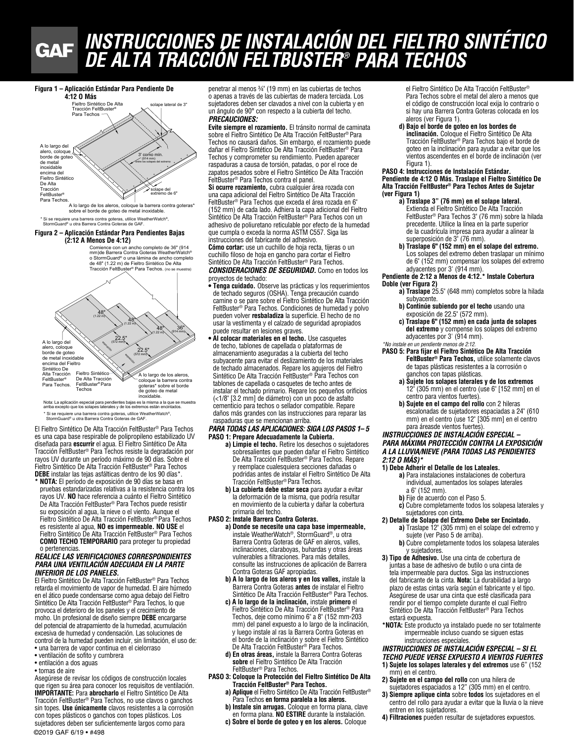# *INSTRUCCIONES DE INSTALACIÓN DEL FIELTRO SINTÉTICO DE ALTA TRACCIÓN FELTBUSTER® PARA TECHOS* **GAF**

#### Figura 1 – Aplicación Estándar Para Pendiente De



\* Si se requiere una barrera contra goteras, utilice WeatherWatch®, StormGuard® u otra Barrera Contra Goteras de GAF.

#### **Figura 2 – Aplicación Estándar Para Pendientes Bajas (2:12 A Menos De 4:12)**

de 48" (1.22 m) de Fieltro Sintético De Alta Tracción FeltBuster® Para Techos. (no se muestra) Comience con un ancho completo de 36" (914 mm)de Barrera Contra Goteras WeatherWatch® o StormGuard® o una lámina de ancho completo



Nota: La aplicación especial para pendientes bajas es la misma a la que se muestra<br>arriba excepto que los solapes laterales y de los extremos están encintados. \* Si se requiere una barrera contra goteras, utilice WeatherWatch®,<br>StormGuard® u otra Barrera Contra Goteras de GAF.

El Fieltro Sintético De Alta Tracción FeltBuster® Para Techos es una capa base respirable de polipropileno estabilizado UV diseñada para **escurrir** el agua. El Fieltro Sintético De Alta Tracción FeltBuster® Para Techos resiste la degradación por rayos UV durante un período máximo de 90 días. Sobre el Fieltro Sintético De Alta Tracción FeltBuster® Para Techos **DEBE** instalar las tejas asfálticas dentro de los 90 días\*. Fieltro Sintético De Alta Tracción FeltBuster® Para Te<br>Una cana base respirable de polipropileno estábilizar

**\* NOTA:** El período de exposición de 90 días se basa en pruebas estandarizadas relativas a la resistencia contra los rayos UV. **NO** hace referencia a cuánto el Fieltro Sintético De Alta Tracción FeltBuster® Para Techos puede resistir su exposición al agua, la nieve o el viento. Aunque el Fieltro Sintético De Alta Tracción FeltBuster® Para Techos es resistente al agua, **NO es impermeable. NO USE** el Fieltro Sintético De Alta Tracción FeltBuster® Para Techos **COMO TECHO TEMPORARIO** para proteger tu propiedad o pertenencias.

#### *REALICE LAS VERIFICACIONES CORRESPONDIENTES PARA UNA VENTILACIÓN ADECUADA EN LA PARTE INFERIOR DE LOS PANELES.*

El Fieltro Sintético De Alta Tracción FeltBuster® Para Techos retarda el movimiento de vapor de humedad. El aire húmedo en el ático puede condensarse como agua debajo del Fieltro Sintético De Alta Tracción FeltBuster® Para Techos, lo que provoca el deterioro de los paneles y el crecimiento de moho. Un profesional de diseño siempre **DEBE** encargarse del potencial de atrapamiento de la humedad, acumulación excesiva de humedad y condensación. Las soluciones de control de la humedad pueden incluir, sin limitación, el uso de: • una barrera de vapor continua en el cielorraso

- ventilación de sofito y cumbrera
- entilación a dos aguas
- tomas de aire

Asegúrese de revisar los códigos de construcción locales que rigen su área para conocer los requisitos de ventilación. **IMPORTANTE:** Para **abrocharlo** el Fieltro Sintético De Alta Tracción FeltBuster® Para Techos, no use clavos o ganchos sin topes. **Use únicamente** clavos resistentes a la corrosión con topes plásticos o ganchos con topes plásticos. Los sujetadores deben ser suficientemente largos como para ©2019 GAF 6/19 • #498

penetrar al menos ¾" (19 mm) en las cubiertas de techos o apenas a través de las cubiertas de madera terciada. Los sujetadores deben ser clavados a nivel con la cubierta y en un ángulo de 90° con respecto a la cubierta del techo. *PRECAUCIONES:*

**Evite siempre el rozamiento.** El tránsito normal de caminata sobre el Fieltro Sintético De Alta Tracción FeltBuster® Para Techos no causará daños. Sin embargo, el rozamiento puede dañar el Fieltro Sintético De Alta Tracción FeltBuster® Para Techos y comprometer su rendimiento. Pueden aparecer raspaduras a causa de torsión, patadas, o por el roce de zapatos pesados sobre el Fieltro Sintético De Alta Tracción FeltBuster® Para Techos contra el panel.

**Si ocurre rozamiento,** cubra cualquier área rozada con una capa adicional del Fieltro Sintético De Alta Tracción FeltBuster® Para Techos que exceda el área rozada en 6" (152 mm) de cada lado. Adhiera la capa adicional del Fieltro Sintético De Alta Tracción FeltBuster® Para Techos con un adhesivo de poliuretano reticulable por efecto de la humedad que cumpla o exceda la norma ASTM C557. Siga las instrucciones del fabricante del adhesivo.

**Cómo cortar:** use un cuchillo de hoja recta, tijeras o un cuchillo filoso de hoja en gancho para cortar el Fieltro Sintético De Alta Tracción FeltBuster® Para Techos. *CONSIDERACIONES DE SEGURIDAD.* Como en todos los

proyectos de techado:

- **Tenga cuidado.** Observe las prácticas y los requerimientos de techado seguros (OSHA). Tenga precaución cuando camine o se pare sobre el Fieltro Sintético De Alta Tracción FeltBuster® Para Techos. Condiciones de humedad y polvo pueden volver **resbaladiza** la superficie. El hecho de no usar la vestimenta y el calzado de seguridad apropiados puede resultar en lesiones graves.
- **Al colocar materiales en el techo.** Use casquetes de techo, tablones de capellada o plataformas de almacenamiento aseguradas a la cubierta del techo subyacente para evitar el deslizamiento de los materiales de techado almacenados. Repare los agujeros del Fieltro Sintético De Alta Tracción FeltBuster® Para Techos con tablones de capellada o casquetes de techo antes de instalar el techado primario. Repare los pequeños orificios (<1/8" [3.2 mm] de diámetro) con un poco de asfalto cementicio para techos o sellador compatible. Repare daños más grandes con las instrucciones para reparar las raspaduras que se mencionan arriba.

#### *PARA TODAS LAS APLICACIONES: SIGA LOS PASOS 1– 5* **PASO 1: Prepare Adecuadamente la Cubierta.**

- **a) Limpie el techo.** Retire los desechos o sujetadores sobresalientes que pueden dañar el Fieltro Sintético De Alta Tracción FeltBuster® Para Techos. Repare y reemplace cualesquiera secciones dañadas o podridas antes de instalar el Fieltro Sintético De Alta Tracción FeltBuster® Para Techos.
- **b) La cubierta debe estar seca** para ayudar a evitar la deformación de la misma, que podría resultar en movimiento de la cubierta y dañar la cobertura primaria del techo.
- **PASO 2: Instale Barrera Contra Goteras.**
	- **a) Donde se necesite una capa base impermeable,**  instale WeatherWatch®, StormGuard®, u otra Barrera Contra Goteras de GAF en aleros, valles, inclinaciones, claraboyas, buhardas y otras áreas vulnerables a filtraciones. Para más detalles, consulte las instrucciones de aplicación de Barrera Contra Goteras GAF apropiadas.
		- **b) A lo largo de los aleros y en los valles,** instale la Barrera Contra Goteras **antes** de instalar el Fieltro Sintético De Alta Tracción FeltBuster® Para Techos.
		- **c) A lo largo de la inclinación,** instale **primero** el Fieltro Sintético De Alta Tracción FeltBuster® Para Techos, deje como mínimo 6" a 8" (152 mm-203 mm) del panel expuesto a lo largo de la inclinación, y luego instale al ras la Barrera Contra Goteras en el borde de la inclinación y sobre el Fieltro Sintético De Alta Tracción FeltBuster® Para Techos.
		- **d) En otras áreas,** instale la Barrera Contra Goteras **sobre** el Fieltro Sintético De Alta Tracción FeltBuster® Para Techos.
- **PASO 3: Coloque la Protección del Fieltro Sintético De Alta Tracción FeltBuster® Para Techos. a) Aplique** el Fieltro Sintético De Alta Tracción FeltBuster®
	- Para Techos **en forma paralela a los aleros.**
	- **b) Instale sin arrugas.** Coloque en forma plana, clave en forma plana. **NO ESTIRE** durante la instalación. **c) Sobre el borde de goteo y en los aleros.** Coloque

el Fieltro Sintético De Alta Tracción FeltBuster® Para Techos sobre el metal del alero a menos que el código de construcción local exija lo contrario o si hay una Barrera Contra Goteras colocada en los aleros (ver Figura 1).

**d) Bajo el borde de goteo en los bordes de inclinación.** Coloque el Fieltro Sintético De Alta Tracción FeltBuster® Para Techos bajo el borde de goteo en la inclinación para ayudar a evitar que los vientos ascendentes en el borde de inclinación (ver Figura 1).

**PASO 4: Instrucciones de Instalación Estándar. Pendiente de 4:12 O Más. Traslape el Fieltro Sintético De Alta Tracción FeltBuster® Para Techos Antes de Sujetar (ver Figura 1)**

- **a) Traslape 3" (76 mm) en el solape lateral.**  Extienda el Fieltro Sintético De Alta Tracción FeltBuster® Para Techos 3" (76 mm) sobre la hilada precedente. Utilice la línea en la parte superior de la cuadrícula impresa para ayudar a alinear la superposición de 3" (76 mm).
- **b) Traslape 6" (152 mm) en el solape del extremo.**  Los solapes del extremo deben traslapar un mínimo de 6" (152 mm) compensar los solapes del extremo adyacentes por 3' (914 mm).

#### **Pendiente de 2:12 a Menos de 4:12.\* Instale Cobertura**

- **Doble (ver Figura 2) a) Traslape** 25.5" (648 mm) completos sobre la hilada
	- subyacente. **b) Continúe subiendo por el techo** usando una
	- exposición de 22.5" (572 mm). **c) Traslape 6" (152 mm) en cada junta de solapes del extremo** y compense los solapes del extremo

#### adyacentes por 3' (914 mm). *\*No instale en un pendiente menos de 2:12.*

- **PASO 5: Para fijar el Fieltro Sintético De Alta Tracción FeltBuster® Para Techos,** utilice solamente clavos de tapas plásticas resistentes a la corrosión o ganchos con tapas plásticas.
	- **a) Sujete los solapes laterales y de los extremos**  12" (305 mm) en el centro (use 6" [152 mm] en el centro para vientos fuertes).
	- **b) Sujete en el campo del rollo** con 2 hileras escalonadas de sujetadores espaciadas a 24" (610 mm) en el centro (use 12" [305 mm] en el centro para áreasde vientos fuertes).

#### *INSTRUCCIONES DE INSTALACIÓN ESPECIAL – PARA MÁXIMA PROTECCIÓN CONTRA LA EXPOSICIÓN A LA LLUVIA/NIEVE (PARA TODAS LAS PENDIENTES 2:12 O MÁS)\**

#### **1) Debe Adherir el Detalle de los Lateales.**

- **a)** Para instalaciones instalaciones de cobertura individual, aumentados los solapes laterales a 6" (152 mm).
- **b)** Fije de acuerdo con el Paso 5.
- **c)** Cubre completamente todos los solapesa laterales y sujetadores con cinta.

#### **2) Detalle de Solape del Extremo Debe ser Encintado.**

- **a)** Traslape 12" (305 mm) en el solape del extremo y sujete (ver Paso 5 de arriba).
- **b)** Cubre completamente todos los solapesa laterales y sujetadores.
- **3) Tipo de Adhesivo.** Use una cinta de cobertura de juntas a base de adhesivo de butilo o una cinta de tela impermeable para ductos. Siga las instrucciones del fabricante de la cinta. **Nota:** La durabilidad a largo plazo de estas cintas varía según el fabricante y el tipo. Asegúrese de usar una cinta que esté clasificada para rendir por el tiempo complete durante el cual Fieltro Sintético De Alta Tracción FeltBuster® Para Techos estará expuesta.
- **\*NOTA:** Este producto ya instalado puede no ser totalmente impermeable incluso cuando se siguen estas instrucciones especiales.

## *INSTRUCCIONES DE INSTALACIÓN ESPECIAL – SI EL*

- *TECHO PUEDE VERSE EXPUESTO A VIENTOS FUERTES* **1) Sujete los solapes laterales y del extremos** use 6" (152
- mm) en el centro.
- **2) Sujete en el campo del rollo** con una hilera de sujetadores espaciados a 12" (305 mm) en el centro.
- **3) Siempre aplique cinta** sobre **todos** los sujetadores en el centro del rollo para ayudar a evitar que la lluvia o la nieve entren en los sujetadores.
- **4) Filtraciones** pueden resultar de sujetadores expuestos.